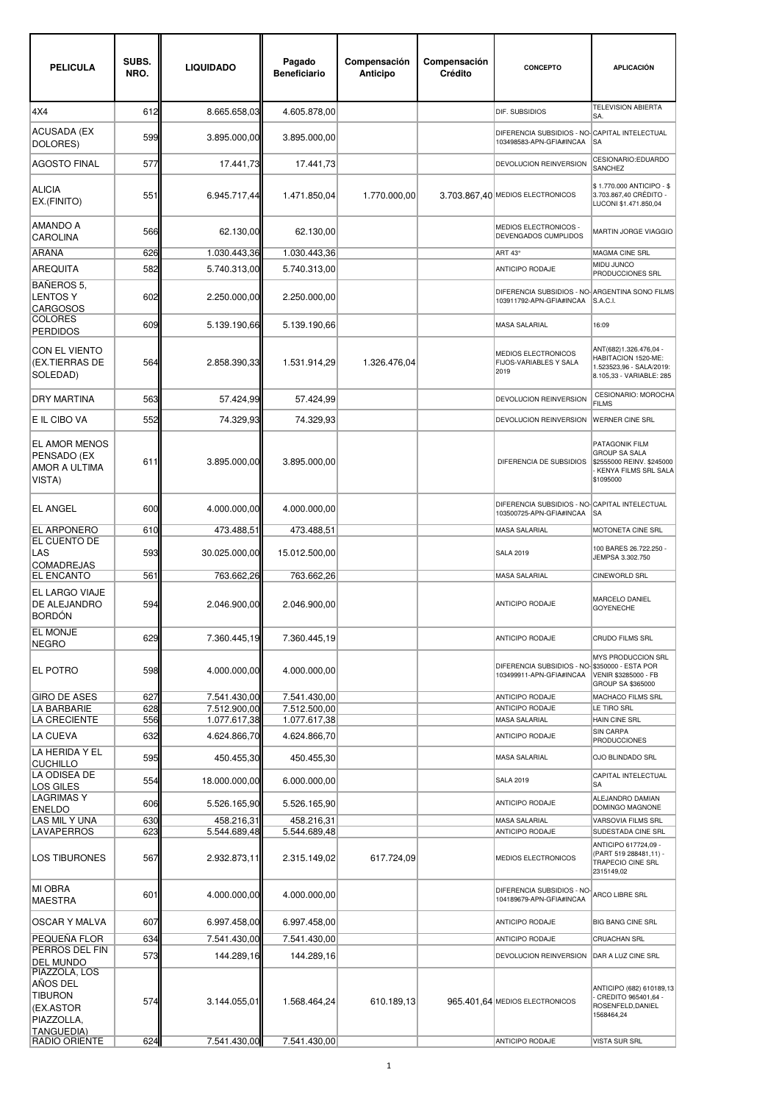| <b>PELICULA</b>                                                        | SUBS.<br>NRO. | <b>LIQUIDADO</b>             | Pagado<br><b>Beneficiario</b> | Compensación<br>Anticipo | Compensación<br>Crédito | <b>CONCEPTO</b>                                                             | <b>APLICACIÓN</b>                                                                                        |
|------------------------------------------------------------------------|---------------|------------------------------|-------------------------------|--------------------------|-------------------------|-----------------------------------------------------------------------------|----------------------------------------------------------------------------------------------------------|
| 4X4                                                                    | 612           | 8.665.658,03                 | 4.605.878,00                  |                          |                         | DIF. SUBSIDIOS                                                              | <b>TELEVISION ABIERTA</b><br>SA.                                                                         |
| ACUSADA (EX<br>DOLORES)                                                | 599           | 3.895.000,00                 | 3.895.000,00                  |                          |                         | DIFERENCIA SUBSIDIOS - NO-CAPITAL INTELECTUAL<br>103498583-APN-GFIA#INCAA   | <b>SA</b>                                                                                                |
| <b>AGOSTO FINAL</b>                                                    | 577           | 17.441,73                    | 17.441,73                     |                          |                         | DEVOLUCION REINVERSION                                                      | CESIONARIO:EDUARDO<br>SANCHEZ                                                                            |
| <b>ALICIA</b><br>EX.(FINITO)                                           | 551           | 6.945.717,44                 | 1.471.850,04                  | 1.770.000,00             |                         | 3.703.867,40 MEDIOS ELECTRONICOS                                            | \$1.770.000 ANTICIPO - \$<br>3.703.867.40 CRÉDITO -<br>LUCONI \$1.471.850,04                             |
| <b>AMANDO A</b><br><b>CAROLINA</b>                                     | 566           | 62.130,00                    | 62.130,00                     |                          |                         | MEDIOS ELECTRONICOS -<br>DEVENGADOS CUMPLIDOS                               | MARTIN JORGE VIAGGIO                                                                                     |
| ARAÑA                                                                  | 626           | 1.030.443,36                 | 1.030.443,36                  |                          |                         | ART 43°                                                                     | MAGMA CINE SRL                                                                                           |
| <b>AREQUITA</b>                                                        | 582           | 5.740.313,00                 | 5.740.313,00                  |                          |                         | ANTICIPO RODAJE                                                             | MIDU JUNCO<br>PRODUCCIONES SRL                                                                           |
| <b>BAÑEROS 5.</b><br><b>LENTOS Y</b><br><b>CARGOSOS</b>                | 602           | 2.250.000,00                 | 2.250.000,00                  |                          |                         | DIFERENCIA SUBSIDIOS - NO- ARGENTINA SONO FILMS<br>103911792-APN-GFIA#INCAA | S.A.C.I.                                                                                                 |
| <b>COLORES</b><br><b>PERDIDOS</b>                                      | 609           | 5.139.190,66                 | 5.139.190.66                  |                          |                         | <b>MASA SALARIAL</b>                                                        | 16:09                                                                                                    |
| <b>CON EL VIENTO</b><br>(EX.TIERRAS DE<br>SOLEDAD)                     | 564           | 2.858.390,33                 | 1.531.914,29                  | 1.326.476,04             |                         | MEDIOS ELECTRONICOS<br><b>FIJOS-VARIABLES Y SALA</b><br>2019                | ANT(682)1.326.476,04 -<br>HABITACION 1520-ME:<br>1.523523,96 - SALA/2019:<br>8.105,33 - VARIABLE: 285    |
| <b>DRY MARTINA</b>                                                     | 563           | 57.424,99                    | 57.424,99                     |                          |                         | DEVOLUCION REINVERSION                                                      | CESIONARIO: MOROCHA<br><b>FILMS</b>                                                                      |
| E IL CIBO VA                                                           | 552           | 74.329,93                    | 74.329,93                     |                          |                         | DEVOLUCION REINVERSION                                                      | <b>WERNER CINE SRL</b>                                                                                   |
| <b>EL AMOR MENOS</b><br>PENSADO (EX<br>AMOR A ULTIMA<br>VISTA)         | 611           | 3.895.000,00                 | 3.895.000,00                  |                          |                         | DIFERENCIA DE SUBSIDIOS                                                     | PATAGONIK FILM<br><b>GROUP SA SALA</b><br>\$2555000 REINV. \$245000<br>KENYA FILMS SRL SALA<br>\$1095000 |
| <b>EL ANGEL</b>                                                        | 600           | 4.000.000,00                 | 4.000.000,00                  |                          |                         | DIFERENCIA SUBSIDIOS - NO-CAPITAL INTELECTUAL<br>103500725-APN-GFIA#INCAA   | <b>SA</b>                                                                                                |
| <b>EL ARPONERO</b>                                                     | 610           | 473.488,51                   | 473.488,51                    |                          |                         | MASA SALARIAL                                                               | MOTONETA CINE SRL                                                                                        |
| EL CUENTO DE<br>LAS<br><b>COMADREJAS</b>                               | 593           | 30.025.000,00                | 15.012.500,00                 |                          |                         | <b>SALA 2019</b>                                                            | 100 BARES 26.722.250 -<br>JEMPSA 3.302.750                                                               |
| <b>EL ENCANTO</b>                                                      | 561           | 763.662,26                   | 763.662,26                    |                          |                         | MASA SALARIAL                                                               | CINEWORLD SRL                                                                                            |
| <b>EL LARGO VIAJE</b><br>DE ALEJANDRO<br><b>BORDÓN</b>                 | 594           | 2.046.900,00                 | 2.046.900,00                  |                          |                         | ANTICIPO RODAJE                                                             | MARCELO DANIEL<br><b>GOYENECHE</b>                                                                       |
| <b>EL MONJE</b><br><b>NEGRO</b>                                        | 629           | 7.360.445,19                 | 7.360.445,19                  |                          |                         | ANTICIPO RODAJE                                                             | CRUDO FILMS SRL                                                                                          |
| EL POTRO                                                               | 598           | 4.000.000,00                 | 4.000.000.00                  |                          |                         | DIFERENCIA SUBSIDIOS - NO- \$350000 - ESTA POR<br>103499911-APN-GFIA#INCAA  | MYS PRODUCCION SRL<br>VENIR \$3285000 - FB<br>GROUP SA \$365000                                          |
| <b>GIRO DE ASES</b>                                                    | 627           | 7.541.430,00                 | 7.541.430,00                  |                          |                         | ANTICIPO RODAJE                                                             | MACHACO FILMS SRL                                                                                        |
| <b>LA BARBARIE</b><br><b>LA CRECIENTE</b>                              | 628<br>556    | 7.512.900,00<br>1.077.617,38 | 7.512.500,00<br>1.077.617,38  |                          |                         | ANTICIPO RODAJE<br><b>MASA SALARIAL</b>                                     | LE TIRO SRL<br>HAIN CINE SRL                                                                             |
| LA CUEVA                                                               | 632           | 4.624.866,70                 | 4.624.866,70                  |                          |                         | ANTICIPO RODAJE                                                             | <b>SIN CARPA</b>                                                                                         |
| LA HERIDA Y EL                                                         | 595           | 450.455,30                   | 450.455,30                    |                          |                         | <b>MASA SALARIAL</b>                                                        | <b>PRODUCCIONES</b><br>OJO BLINDADO SRL                                                                  |
| <b>CUCHILLO</b><br>LA ODISEA DE                                        | 554           | 18.000.000,00                | 6.000.000.00                  |                          |                         | <b>SALA 2019</b>                                                            | CAPITAL INTELECTUAL<br><b>SA</b>                                                                         |
| LOS GILES<br><b>LAGRIMAS Y</b>                                         | 606           | 5.526.165,90                 | 5.526.165,90                  |                          |                         | ANTICIPO RODAJE                                                             | ALEJANDRO DAMIAN<br>DOMINGO MAGNONE                                                                      |
| <b>ENELDO</b><br>LAS MIL Y UNA                                         | 630           | 458.216,31                   | 458.216,31                    |                          |                         | <b>MASA SALARIAL</b>                                                        | <b>VARSOVIA FILMS SRL</b>                                                                                |
| <b>LAVAPERROS</b>                                                      | 623           | 5.544.689,48                 | 5.544.689,48                  |                          |                         | ANTICIPO RODAJE                                                             | SUDESTADA CINE SRL                                                                                       |
| <b>LOS TIBURONES</b>                                                   | 567           | 2.932.873,11                 | 2.315.149,02                  | 617.724,09               |                         | MEDIOS ELECTRONICOS                                                         | ANTICIPO 617724,09 -<br>(PART 519 288481,11) -<br><b>TRAPECIO CINE SRL</b><br>2315149,02                 |
| <b>MI OBRA</b><br><b>MAESTRA</b>                                       | 601           | 4.000.000,00                 | 4.000.000,00                  |                          |                         | DIFERENCIA SUBSIDIOS - NO-<br>104189679-APN-GFIA#INCAA                      | ARCO LIBRE SRL                                                                                           |
| OSCAR Y MALVA                                                          | 607           | 6.997.458,00                 | 6.997.458,00                  |                          |                         | ANTICIPO RODAJE                                                             | <b>BIG BANG CINE SRL</b>                                                                                 |
| PEQUENA FLOR                                                           | 634           | 7.541.430,00                 | 7.541.430,00                  |                          |                         | ANTICIPO RODAJE                                                             | CRUACHAN SRL                                                                                             |
| PERROS DEL FIN<br><b>DEL MUNDO</b>                                     | 573           | 144.289,16                   | 144.289,16                    |                          |                         | DEVOLUCION REINVERSION                                                      | DAR A LUZ CINE SRL                                                                                       |
| PIAZZOLA, LOS<br>ANOS DEL<br><b>TIBURON</b><br>(EX.ASTOR<br>PIAZZOLLA, | 574           | 3.144.055,01                 | 1.568.464,24                  | 610.189,13               |                         | 965.401,64 MEDIOS ELECTRONICOS                                              | ANTICIPO (682) 610189,13<br>CREDITO 965401,64 -<br>ROSENFELD, DANIEL<br>1568464,24                       |
| <b>TANGUEDIA)</b><br><b>RADIO ORIENTE</b>                              | 624           | 7.541.430,00                 | 7.541.430,00                  |                          |                         | ANTICIPO RODAJE                                                             | <b>VISTA SUR SRL</b>                                                                                     |